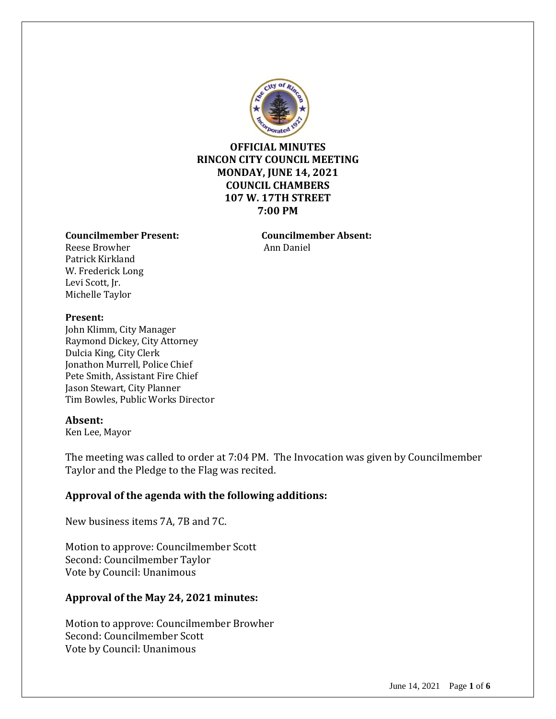

### **OFFICIAL MINUTES RINCON CITY COUNCIL MEETING MONDAY, JUNE 14, 2021 COUNCIL CHAMBERS 107 W. 17TH STREET 7:00 PM**

#### **Councilmember Present: Councilmember Absent:**

Reese Browher Ann Daniel Patrick Kirkland W. Frederick Long Levi Scott, Jr. Michelle Taylor

#### **Present:**

John Klimm, City Manager Raymond Dickey, City Attorney Dulcia King, City Clerk Jonathon Murrell, Police Chief Pete Smith, Assistant Fire Chief Jason Stewart, City Planner Tim Bowles, Public Works Director

#### **Absent:**

Ken Lee, Mayor

The meeting was called to order at 7:04 PM. The Invocation was given by Councilmember Taylor and the Pledge to the Flag was recited.

### **Approval of the agenda with the following additions:**

New business items 7A, 7B and 7C.

Motion to approve: Councilmember Scott Second: Councilmember Taylor Vote by Council: Unanimous

### **Approval of the May 24, 2021 minutes:**

Motion to approve: Councilmember Browher Second: Councilmember Scott Vote by Council: Unanimous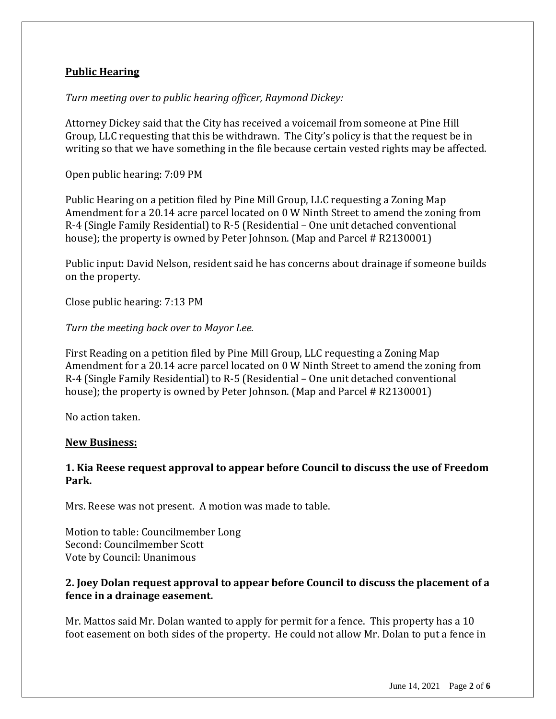## **Public Hearing**

### *Turn meeting over to public hearing officer, Raymond Dickey:*

Attorney Dickey said that the City has received a voicemail from someone at Pine Hill Group, LLC requesting that this be withdrawn. The City's policy is that the request be in writing so that we have something in the file because certain vested rights may be affected.

Open public hearing: 7:09 PM

Public Hearing on a petition filed by Pine Mill Group, LLC requesting a Zoning Map Amendment for a 20.14 acre parcel located on 0 W Ninth Street to amend the zoning from R-4 (Single Family Residential) to R-5 (Residential – One unit detached conventional house); the property is owned by Peter Johnson. (Map and Parcel # R2130001)

Public input: David Nelson, resident said he has concerns about drainage if someone builds on the property.

Close public hearing: 7:13 PM

*Turn the meeting back over to Mayor Lee.*

First Reading on a petition filed by Pine Mill Group, LLC requesting a Zoning Map Amendment for a 20.14 acre parcel located on 0 W Ninth Street to amend the zoning from R-4 (Single Family Residential) to R-5 (Residential – One unit detached conventional house); the property is owned by Peter Johnson. (Map and Parcel # R2130001)

No action taken.

#### **New Business:**

### **1. Kia Reese request approval to appear before Council to discuss the use of Freedom Park.**

Mrs. Reese was not present. A motion was made to table.

Motion to table: Councilmember Long Second: Councilmember Scott Vote by Council: Unanimous

### **2. Joey Dolan request approval to appear before Council to discuss the placement of a fence in a drainage easement.**

Mr. Mattos said Mr. Dolan wanted to apply for permit for a fence. This property has a 10 foot easement on both sides of the property. He could not allow Mr. Dolan to put a fence in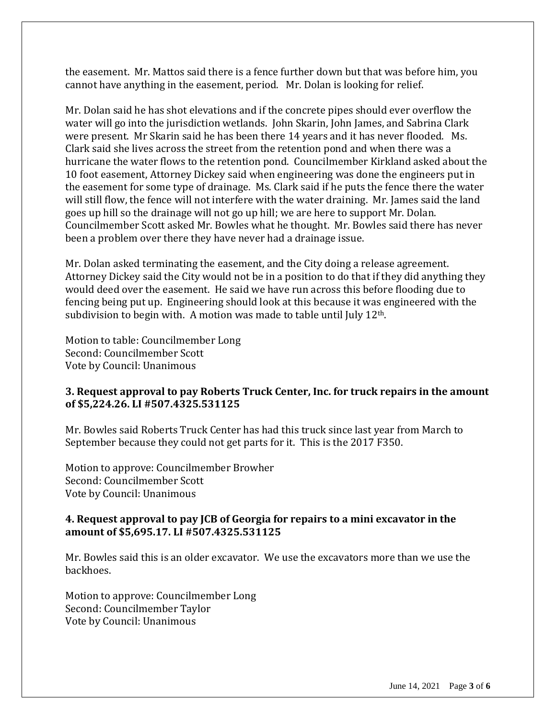the easement. Mr. Mattos said there is a fence further down but that was before him, you cannot have anything in the easement, period. Mr. Dolan is looking for relief.

Mr. Dolan said he has shot elevations and if the concrete pipes should ever overflow the water will go into the jurisdiction wetlands. John Skarin, John James, and Sabrina Clark were present. Mr Skarin said he has been there 14 years and it has never flooded. Ms. Clark said she lives across the street from the retention pond and when there was a hurricane the water flows to the retention pond. Councilmember Kirkland asked about the 10 foot easement, Attorney Dickey said when engineering was done the engineers put in the easement for some type of drainage. Ms. Clark said if he puts the fence there the water will still flow, the fence will not interfere with the water draining. Mr. James said the land goes up hill so the drainage will not go up hill; we are here to support Mr. Dolan. Councilmember Scott asked Mr. Bowles what he thought. Mr. Bowles said there has never been a problem over there they have never had a drainage issue.

Mr. Dolan asked terminating the easement, and the City doing a release agreement. Attorney Dickey said the City would not be in a position to do that if they did anything they would deed over the easement. He said we have run across this before flooding due to fencing being put up. Engineering should look at this because it was engineered with the subdivision to begin with. A motion was made to table until July 12<sup>th</sup>.

Motion to table: Councilmember Long Second: Councilmember Scott Vote by Council: Unanimous

### **3. Request approval to pay Roberts Truck Center, Inc. for truck repairs in the amount of \$5,224.26. LI #507.4325.531125**

Mr. Bowles said Roberts Truck Center has had this truck since last year from March to September because they could not get parts for it. This is the 2017 F350.

Motion to approve: Councilmember Browher Second: Councilmember Scott Vote by Council: Unanimous

#### **4. Request approval to pay JCB of Georgia for repairs to a mini excavator in the amount of \$5,695.17. LI #507.4325.531125**

Mr. Bowles said this is an older excavator. We use the excavators more than we use the backhoes.

Motion to approve: Councilmember Long Second: Councilmember Taylor Vote by Council: Unanimous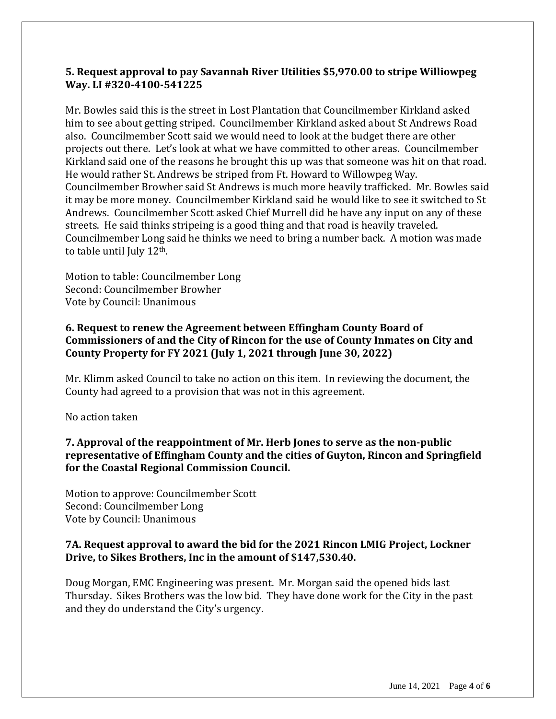### **5. Request approval to pay Savannah River Utilities \$5,970.00 to stripe Williowpeg Way. LI #320-4100-541225**

Mr. Bowles said this is the street in Lost Plantation that Councilmember Kirkland asked him to see about getting striped. Councilmember Kirkland asked about St Andrews Road also. Councilmember Scott said we would need to look at the budget there are other projects out there. Let's look at what we have committed to other areas. Councilmember Kirkland said one of the reasons he brought this up was that someone was hit on that road. He would rather St. Andrews be striped from Ft. Howard to Willowpeg Way. Councilmember Browher said St Andrews is much more heavily trafficked. Mr. Bowles said it may be more money. Councilmember Kirkland said he would like to see it switched to St Andrews. Councilmember Scott asked Chief Murrell did he have any input on any of these streets. He said thinks stripeing is a good thing and that road is heavily traveled. Councilmember Long said he thinks we need to bring a number back. A motion was made to table until July 12<sup>th</sup>.

Motion to table: Councilmember Long Second: Councilmember Browher Vote by Council: Unanimous

# **6. Request to renew the Agreement between Effingham County Board of Commissioners of and the City of Rincon for the use of County Inmates on City and County Property for FY 2021 (July 1, 2021 through June 30, 2022)**

Mr. Klimm asked Council to take no action on this item. In reviewing the document, the County had agreed to a provision that was not in this agreement.

No action taken

# **7. Approval of the reappointment of Mr. Herb Jones to serve as the non-public representative of Effingham County and the cities of Guyton, Rincon and Springfield for the Coastal Regional Commission Council.**

Motion to approve: Councilmember Scott Second: Councilmember Long Vote by Council: Unanimous

# **7A. Request approval to award the bid for the 2021 Rincon LMIG Project, Lockner Drive, to Sikes Brothers, Inc in the amount of \$147,530.40.**

Doug Morgan, EMC Engineering was present. Mr. Morgan said the opened bids last Thursday. Sikes Brothers was the low bid. They have done work for the City in the past and they do understand the City's urgency.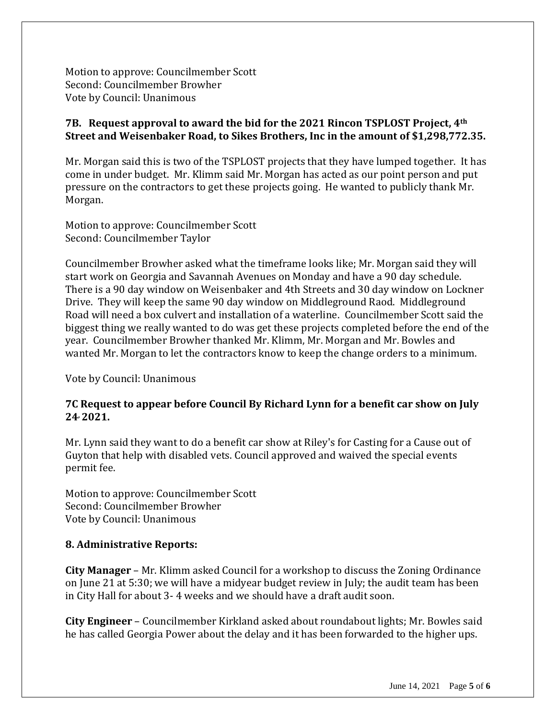Motion to approve: Councilmember Scott Second: Councilmember Browher Vote by Council: Unanimous

## **7B. Request approval to award the bid for the 2021 Rincon TSPLOST Project, 4th Street and Weisenbaker Road, to Sikes Brothers, Inc in the amount of \$1,298,772.35.**

Mr. Morgan said this is two of the TSPLOST projects that they have lumped together. It has come in under budget. Mr. Klimm said Mr. Morgan has acted as our point person and put pressure on the contractors to get these projects going. He wanted to publicly thank Mr. Morgan.

Motion to approve: Councilmember Scott Second: Councilmember Taylor

Councilmember Browher asked what the timeframe looks like; Mr. Morgan said they will start work on Georgia and Savannah Avenues on Monday and have a 90 day schedule. There is a 90 day window on Weisenbaker and 4th Streets and 30 day window on Lockner Drive. They will keep the same 90 day window on Middleground Raod. Middleground Road will need a box culvert and installation of a waterline. Councilmember Scott said the biggest thing we really wanted to do was get these projects completed before the end of the year. Councilmember Browher thanked Mr. Klimm, Mr. Morgan and Mr. Bowles and wanted Mr. Morgan to let the contractors know to keep the change orders to a minimum.

Vote by Council: Unanimous

### **7C Request to appear before Council By Richard Lynn for a benefit car show on July 24, 2021.**

Mr. Lynn said they want to do a benefit car show at Riley's for Casting for a Cause out of Guyton that help with disabled vets. Council approved and waived the special events permit fee.

Motion to approve: Councilmember Scott Second: Councilmember Browher Vote by Council: Unanimous

### **8. Administrative Reports:**

**City Manager** – Mr. Klimm asked Council for a workshop to discuss the Zoning Ordinance on June 21 at 5:30; we will have a midyear budget review in July; the audit team has been in City Hall for about 3- 4 weeks and we should have a draft audit soon.

**City Engineer** – Councilmember Kirkland asked about roundabout lights; Mr. Bowles said he has called Georgia Power about the delay and it has been forwarded to the higher ups.